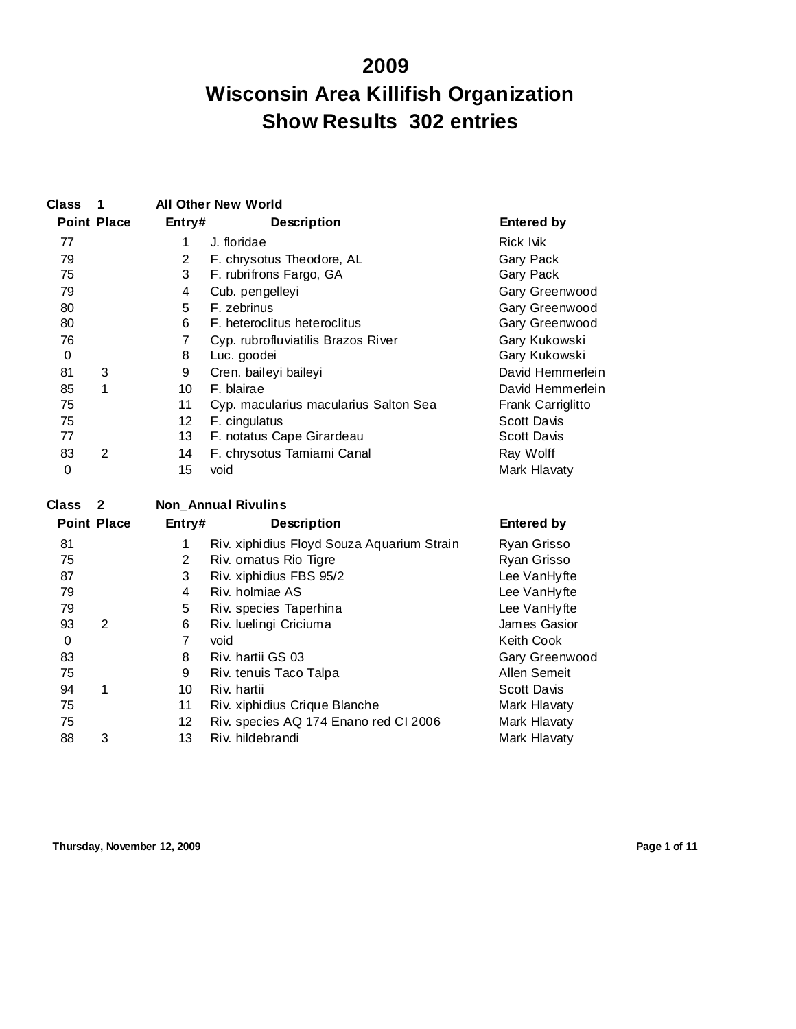## **Wisconsin Area Killifish Organization Show Results 302 entries**

| <b>Class</b> |                         |                 | <b>All Other New World</b>                |                    |
|--------------|-------------------------|-----------------|-------------------------------------------|--------------------|
|              | <b>Point Place</b>      | Entry#          | <b>Description</b>                        | <b>Entered by</b>  |
| 77           |                         | 1               | J. floridae                               | Rick lvik          |
| 79           |                         | $\overline{2}$  | F. chrysotus Theodore, AL                 | Gary Pack          |
| 75           |                         | 3               | F. rubrifrons Fargo, GA                   | Gary Pack          |
| 79           |                         | 4               | Cub. pengelleyi                           | Gary Greenwood     |
| 80           |                         | 5               | F. zebrinus                               | Gary Greenwood     |
| 80           |                         | 6               | F. heteroclitus heteroclitus              | Gary Greenwood     |
| 76           |                         | 7               | Cyp. rubrofluviatilis Brazos River        | Gary Kukowski      |
| 0            |                         | 8               | Luc. goodei                               | Gary Kukowski      |
| 81           | 3                       | 9               | Cren. baileyi baileyi                     | David Hemmerlein   |
| 85           | 1                       | 10              | F. blairae                                | David Hemmerlein   |
| 75           |                         | 11              | Cyp. macularius macularius Salton Sea     | Frank Carriglitto  |
| 75           |                         | 12 <sup>°</sup> | F. cingulatus                             | <b>Scott Davis</b> |
| 77           |                         | 13              | F. notatus Cape Girardeau                 | Scott Davis        |
| 83           | 2                       | 14              | F. chrysotus Tamiami Canal                | Ray Wolff          |
| 0            |                         | 15              | void                                      | Mark Hlavaty       |
| <b>Class</b> | $\overline{\mathbf{2}}$ |                 | <b>Non Annual Rivulins</b>                |                    |
|              | <b>Point Place</b>      | Entry#          | <b>Description</b>                        | <b>Entered by</b>  |
| 04           |                         | $\sim$          | Div vinhidius Floyd Souzo Aguarium Stroin | D <sub>Y</sub>     |

| 81 |   |    | Riv. xiphidius Floyd Souza Aquarium Strain | Ryan Grisso    |
|----|---|----|--------------------------------------------|----------------|
| 75 |   | 2  | Riv. ornatus Rio Tigre                     | Ryan Grisso    |
| 87 |   | 3  | Riv. xiphidius FBS 95/2                    | Lee VanHyfte   |
| 79 |   | 4  | Riv. holmiae AS                            | Lee VanHyfte   |
| 79 |   | 5  | Riv. species Taperhina                     | Lee VanHyfte   |
| 93 | 2 | 6  | Riv. luelingi Criciuma                     | James Gasior   |
| 0  |   | 7  | void                                       | Keith Cook     |
| 83 |   | 8  | Riv. hartii GS 03                          | Gary Greenwood |
| 75 |   | 9  | Riv. tenuis Taco Talpa                     | Allen Semeit   |
| 94 |   | 10 | Riv. hartii                                | Scott Davis    |
| 75 |   | 11 | Riv. xiphidius Crique Blanche              | Mark Hlavaty   |
| 75 |   | 12 | Riv. species AQ 174 Enano red CI 2006      | Mark Hlavaty   |
| 88 | 3 | 13 | Riv. hildebrandi                           | Mark Hlavaty   |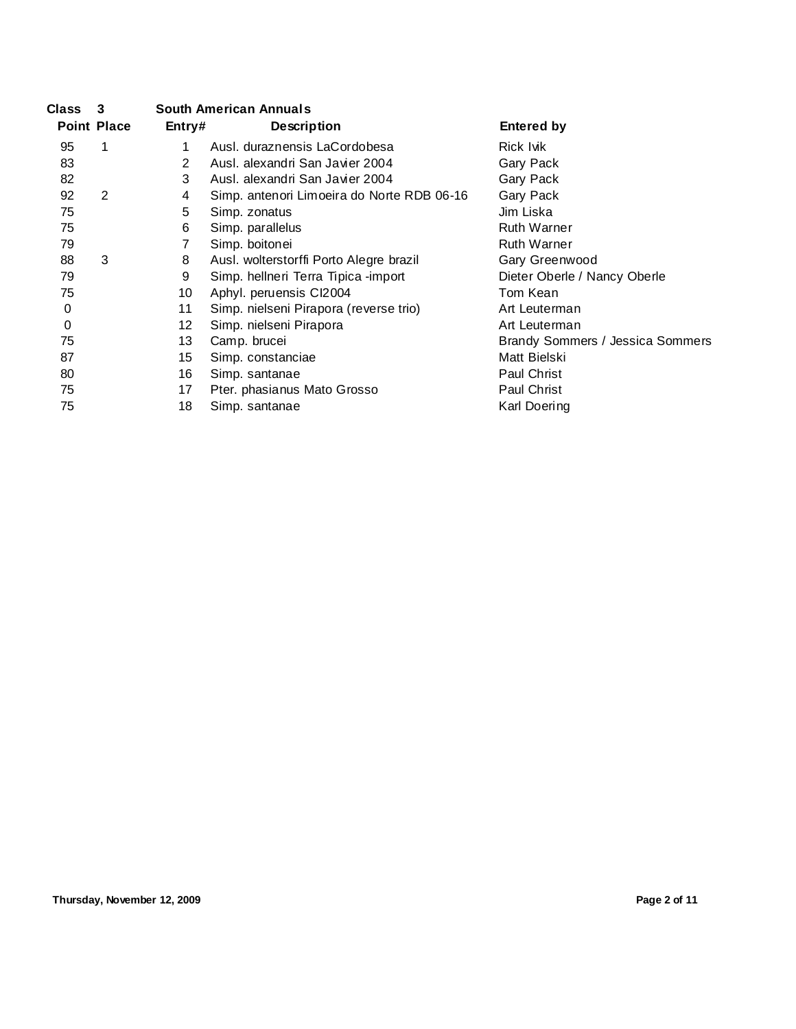| <b>Class</b> | - 3                |                 | <b>South American Annuals</b>              |                                  |
|--------------|--------------------|-----------------|--------------------------------------------|----------------------------------|
|              | <b>Point Place</b> | Entry#          | <b>Description</b>                         | <b>Entered by</b>                |
| 95           | 1                  |                 | Ausl. duraznensis LaCordobesa              | Rick Ivik                        |
| 83           |                    | 2               | Ausl. alexandri San Javier 2004            | Gary Pack                        |
| 82           |                    | 3               | Ausl. alexandri San Javier 2004            | Gary Pack                        |
| 92           | 2                  | 4               | Simp. antenori Limoeira do Norte RDB 06-16 | Gary Pack                        |
| 75           |                    | 5               | Simp. zonatus                              | Jim Liska                        |
| 75           |                    | 6               | Simp. parallelus                           | <b>Ruth Warner</b>               |
| 79           |                    |                 | Simp. boitonei                             | <b>Ruth Warner</b>               |
| 88           | 3                  | 8               | Ausl. wolterstorffi Porto Alegre brazil    | Gary Greenwood                   |
| 79           |                    | 9               | Simp. hellneri Terra Tipica -import        | Dieter Oberle / Nancy Oberle     |
| 75           |                    | 10              | Aphyl. peruensis CI2004                    | Tom Kean                         |
| 0            |                    | 11              | Simp. nielseni Pirapora (reverse trio)     | Art Leuterman                    |
| 0            |                    | 12 <sup>2</sup> | Simp. nielseni Pirapora                    | Art Leuterman                    |
| 75           |                    | 13              | Camp. brucei                               | Brandy Sommers / Jessica Sommers |
| 87           |                    | 15              | Simp. constanciae                          | Matt Bielski                     |
| 80           |                    | 16              | Simp. santanae                             | Paul Christ                      |
| 75           |                    | 17              | Pter. phasianus Mato Grosso                | Paul Christ                      |
| 75           |                    | 18              | Simp. santanae                             | Karl Doering                     |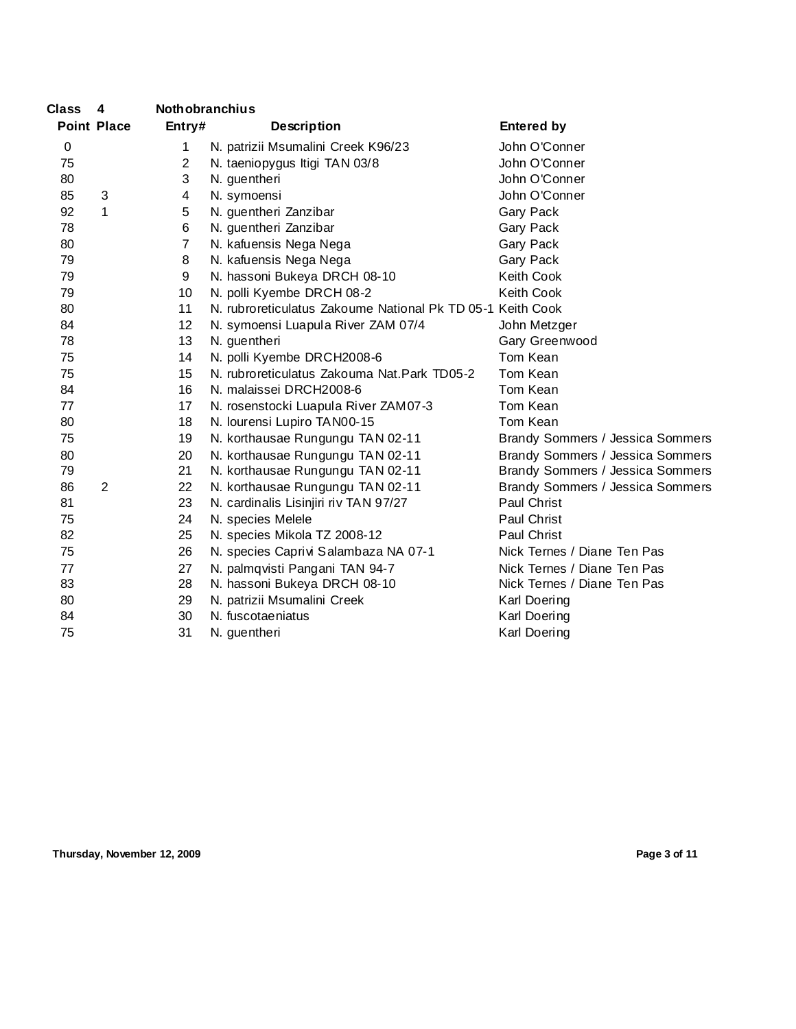| Class | $\overline{\mathbf{4}}$ | <b>Nothobranchius</b> |                                                            |                                  |
|-------|-------------------------|-----------------------|------------------------------------------------------------|----------------------------------|
|       | <b>Point Place</b>      | Entry#                | <b>Description</b>                                         | <b>Entered by</b>                |
| 0     |                         | 1                     | N. patrizii Msumalini Creek K96/23                         | John O'Conner                    |
| 75    |                         | $\overline{2}$        | N. taeniopygus Itigi TAN 03/8                              | John O'Conner                    |
| 80    |                         | 3                     | N. guentheri                                               | John O'Conner                    |
| 85    | 3                       | 4                     | N. symoensi                                                | John O'Conner                    |
| 92    | 1                       | 5                     | N. guentheri Zanzibar                                      | Gary Pack                        |
| 78    |                         | 6                     | N. guentheri Zanzibar                                      | Gary Pack                        |
| 80    |                         | $\overline{7}$        | N. kafuensis Nega Nega                                     | Gary Pack                        |
| 79    |                         | 8                     | N. kafuensis Nega Nega                                     | Gary Pack                        |
| 79    |                         | 9                     | N. hassoni Bukeya DRCH 08-10                               | Keith Cook                       |
| 79    |                         | 10                    | N. polli Kyembe DRCH 08-2                                  | Keith Cook                       |
| 80    |                         | 11                    | N. rubroreticulatus Zakoume National Pk TD 05-1 Keith Cook |                                  |
| 84    |                         | 12 <sub>2</sub>       | N. symoensi Luapula River ZAM 07/4                         | John Metzger                     |
| 78    |                         | 13                    | N. guentheri                                               | Gary Greenwood                   |
| 75    |                         | 14                    | N. polli Kyembe DRCH2008-6                                 | Tom Kean                         |
| 75    |                         | 15                    | N. rubroreticulatus Zakouma Nat. Park TD05-2               | Tom Kean                         |
| 84    |                         | 16                    | N. malaissei DRCH2008-6                                    | Tom Kean                         |
| 77    |                         | 17                    | N. rosenstocki Luapula River ZAM07-3                       | Tom Kean                         |
| 80    |                         | 18                    | N. lourensi Lupiro TAN00-15                                | Tom Kean                         |
| 75    |                         | 19                    | N. korthausae Rungungu TAN 02-11                           | Brandy Sommers / Jessica Sommers |
| 80    |                         | 20                    | N. korthausae Rungungu TAN 02-11                           | Brandy Sommers / Jessica Sommers |
| 79    |                         | 21                    | N. korthausae Rungungu TAN 02-11                           | Brandy Sommers / Jessica Sommers |
| 86    | $\overline{2}$          | 22                    | N. korthausae Rungungu TAN 02-11                           | Brandy Sommers / Jessica Sommers |
| 81    |                         | 23                    | N. cardinalis Lisinjiri riv TAN 97/27                      | Paul Christ                      |
| 75    |                         | 24                    | N. species Melele                                          | Paul Christ                      |
| 82    |                         | 25                    | N. species Mikola TZ 2008-12                               | Paul Christ                      |
| 75    |                         | 26                    | N. species Caprivi Salambaza NA 07-1                       | Nick Ternes / Diane Ten Pas      |
| 77    |                         | 27                    | N. palmqvisti Pangani TAN 94-7                             | Nick Ternes / Diane Ten Pas      |
| 83    |                         | 28                    | N. hassoni Bukeya DRCH 08-10                               | Nick Ternes / Diane Ten Pas      |
| 80    |                         | 29                    | N. patrizii Msumalini Creek                                | Karl Doering                     |
| 84    |                         | 30                    | N. fuscotaeniatus                                          | Karl Doering                     |
| 75    |                         | 31                    | N. guentheri                                               | Karl Doering                     |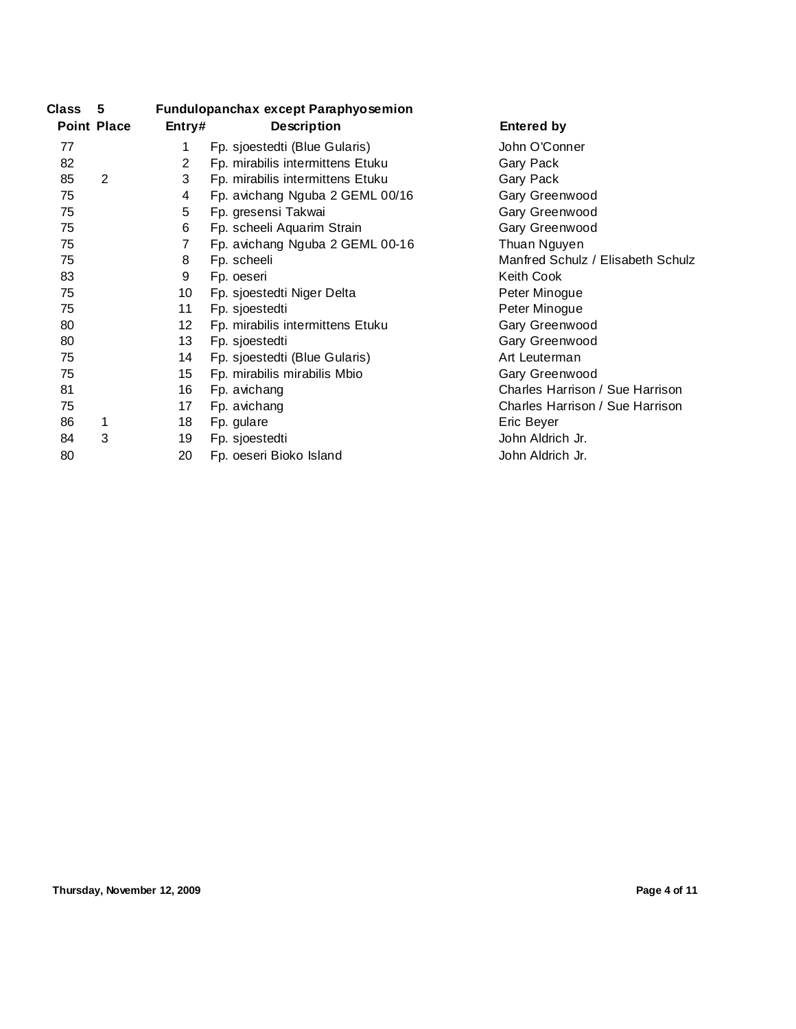| Class | 5                  |                       | <b>Fundulopanchax except Paraphyosemion</b> |                                   |
|-------|--------------------|-----------------------|---------------------------------------------|-----------------------------------|
|       | <b>Point Place</b> | Entry#                | <b>Description</b>                          | <b>Entered by</b>                 |
| 77    |                    | 1                     | Fp. sjoestedti (Blue Gularis)               | John O'Conner                     |
| 82    |                    | $\mathbf{2}^{\prime}$ | Fp. mirabilis intermittens Etuku            | Gary Pack                         |
| 85    | 2                  | 3                     | Fp. mirabilis intermittens Etuku            | Gary Pack                         |
| 75    |                    | 4                     | Fp. avichang Nguba 2 GEML 00/16             | Gary Greenwood                    |
| 75    |                    | 5                     | Fp. gresensi Takwai                         | Gary Greenwood                    |
| 75    |                    | 6                     | Fp. scheeli Aquarim Strain                  | Gary Greenwood                    |
| 75    |                    | 7                     | Fp. avichang Nguba 2 GEML 00-16             | Thuan Nguyen                      |
| 75    |                    | 8                     | Fp. scheeli                                 | Manfred Schulz / Elisabeth Schulz |
| 83    |                    | 9                     | Fp. oeseri                                  | Keith Cook                        |
| 75    |                    | 10                    | Fp. sjoestedti Niger Delta                  | Peter Minogue                     |
| 75    |                    | 11                    | Fp. sjoestedti                              | Peter Minogue                     |
| 80    |                    | 12 <sup>°</sup>       | Fp. mirabilis intermittens Etuku            | Gary Greenwood                    |
| 80    |                    | 13                    | Fp. sjoestedti                              | Gary Greenwood                    |
| 75    |                    | 14                    | Fp. sjoestedti (Blue Gularis)               | Art Leuterman                     |
| 75    |                    | 15                    | Fp. mirabilis mirabilis Mbio                | Gary Greenwood                    |
| 81    |                    | 16                    | Fp. avichang                                | Charles Harrison / Sue Harrison   |
| 75    |                    | 17                    | Fp. avichang                                | Charles Harrison / Sue Harrison   |
| 86    | 1                  | 18                    | Fp. gulare                                  | Eric Beyer                        |
| 84    | 3                  | 19                    | Fp. sjoestedti                              | John Aldrich Jr.                  |
| 80    |                    | 20                    | Fp. oeseri Bioko Island                     | John Aldrich Jr.                  |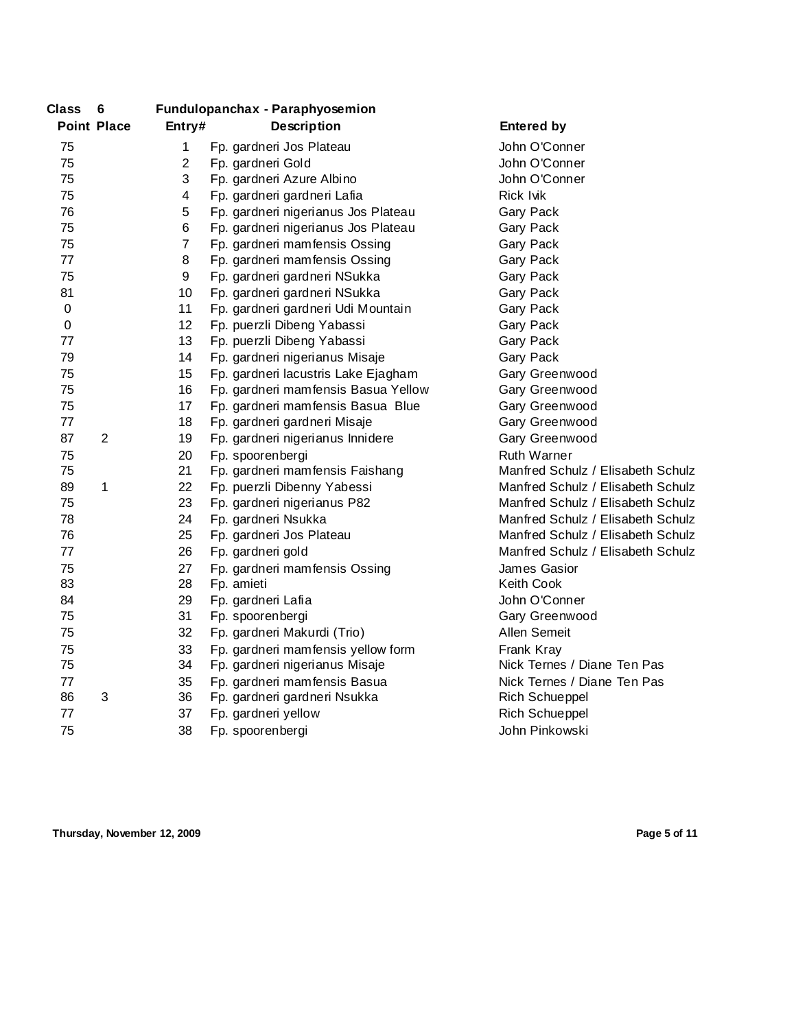| <b>Class</b>     | 6                  | <b>Fundulopanchax - Paraphyosemion</b> |                                     |                                   |
|------------------|--------------------|----------------------------------------|-------------------------------------|-----------------------------------|
|                  | <b>Point Place</b> | Entry#                                 | Description                         | <b>Entered by</b>                 |
| 75               |                    | 1                                      | Fp. gardneri Jos Plateau            | John O'Conner                     |
| 75               |                    | $\overline{2}$                         | Fp. gardneri Gold                   | John O'Conner                     |
| 75               |                    | 3                                      | Fp. gardneri Azure Albino           | John O'Conner                     |
| 75               |                    | 4                                      | Fp. gardneri gardneri Lafia         | <b>Rick Ivik</b>                  |
| 76               |                    | 5                                      | Fp. gardneri nigerianus Jos Plateau | Gary Pack                         |
| 75               |                    | 6                                      | Fp. gardneri nigerianus Jos Plateau | Gary Pack                         |
| 75               |                    | $\overline{7}$                         | Fp. gardneri mamfensis Ossing       | Gary Pack                         |
| 77               |                    | 8                                      | Fp. gardneri mamfensis Ossing       | Gary Pack                         |
| 75               |                    | 9                                      | Fp. gardneri gardneri NSukka        | Gary Pack                         |
| 81               |                    | 10                                     | Fp. gardneri gardneri NSukka        | Gary Pack                         |
| $\boldsymbol{0}$ |                    | 11                                     | Fp. gardneri gardneri Udi Mountain  | Gary Pack                         |
| $\boldsymbol{0}$ |                    | 12                                     | Fp. puerzli Dibeng Yabassi          | Gary Pack                         |
| 77               |                    | 13                                     | Fp. puerzli Dibeng Yabassi          | Gary Pack                         |
| 79               |                    | 14                                     | Fp. gardneri nigerianus Misaje      | Gary Pack                         |
| 75               |                    | 15                                     | Fp. gardneri lacustris Lake Ejagham | Gary Greenwood                    |
| 75               |                    | 16                                     | Fp. gardneri mamfensis Basua Yellow | Gary Greenwood                    |
| 75               |                    | 17                                     | Fp. gardneri mamfensis Basua Blue   | Gary Greenwood                    |
| 77               |                    | 18                                     | Fp. gardneri gardneri Misaje        | Gary Greenwood                    |
| 87               | $\overline{2}$     | 19                                     | Fp. gardneri nigerianus Innidere    | Gary Greenwood                    |
| 75               |                    | 20                                     | Fp. spoorenbergi                    | <b>Ruth Warner</b>                |
| 75               |                    | 21                                     | Fp. gardneri mamfensis Faishang     | Manfred Schulz / Elisabeth Schulz |
| 89               | 1                  | 22                                     | Fp. puerzli Dibenny Yabessi         | Manfred Schulz / Elisabeth Schulz |
| 75               |                    | 23                                     | Fp. gardneri nigerianus P82         | Manfred Schulz / Elisabeth Schulz |
| 78               |                    | 24                                     | Fp. gardneri Nsukka                 | Manfred Schulz / Elisabeth Schulz |
| 76               |                    | 25                                     | Fp. gardneri Jos Plateau            | Manfred Schulz / Elisabeth Schulz |
| 77               |                    | 26                                     | Fp. gardneri gold                   | Manfred Schulz / Elisabeth Schulz |
| 75               |                    | 27                                     | Fp. gardneri mamfensis Ossing       | James Gasior                      |
| 83               |                    | 28                                     | Fp. amieti                          | Keith Cook                        |
| 84               |                    | 29                                     | Fp. gardneri Lafia                  | John O'Conner                     |
| 75               |                    | 31                                     | Fp. spoorenbergi                    | Gary Greenwood                    |
| 75               |                    | 32                                     | Fp. gardneri Makurdi (Trio)         | Allen Semeit                      |
| 75               |                    | 33                                     | Fp. gardneri mamfensis yellow form  | Frank Kray                        |
| 75               |                    | 34                                     | Fp. gardneri nigerianus Misaje      | Nick Ternes / Diane Ten Pas       |
| 77               |                    | 35                                     | Fp. gardneri mamfensis Basua        | Nick Ternes / Diane Ten Pas       |
| 86               | 3                  | 36                                     | Fp. gardneri gardneri Nsukka        | <b>Rich Schueppel</b>             |
| 77               |                    | 37                                     | Fp. gardneri yellow                 | <b>Rich Schueppel</b>             |
| 75               |                    | 38                                     | Fp. spoorenbergi                    | John Pinkowski                    |
|                  |                    |                                        |                                     |                                   |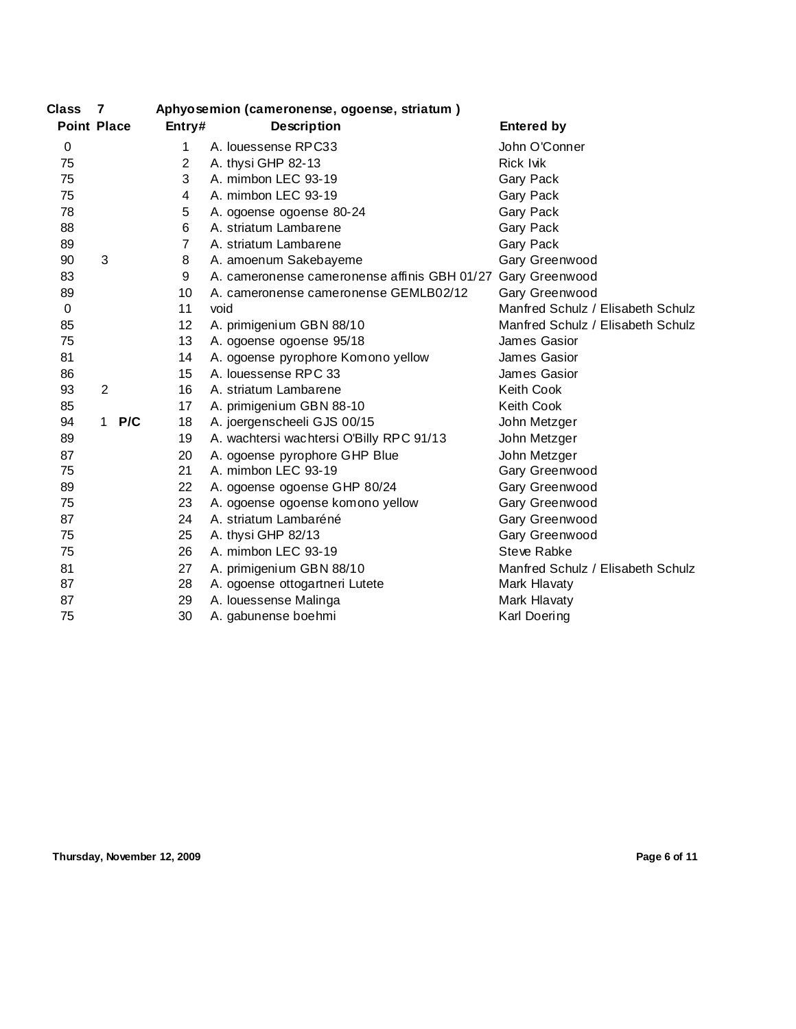| <b>Class</b>       | $\overline{7}$ |     |                | Aphyosemion (cameronense, ogoense, striatum) |                                   |
|--------------------|----------------|-----|----------------|----------------------------------------------|-----------------------------------|
| <b>Point Place</b> |                |     | Entry#         | <b>Description</b>                           | <b>Entered by</b>                 |
| $\mathbf 0$        |                |     | 1.             | A. louessense RPC33                          | John O'Conner                     |
| 75                 |                |     | $\overline{2}$ | A. thysi GHP 82-13                           | Rick Ivik                         |
| 75                 |                |     | 3              | A. mimbon LEC 93-19                          | Gary Pack                         |
| 75                 |                |     | 4              | A. mimbon LEC 93-19                          | Gary Pack                         |
| 78                 |                |     | 5              | A. ogoense ogoense 80-24                     | Gary Pack                         |
| 88                 |                |     | 6              | A. striatum Lambarene                        | Gary Pack                         |
| 89                 |                |     | 7              | A. striatum Lambarene                        | Gary Pack                         |
| 90                 | 3              |     | 8              | A. amoenum Sakebayeme                        | Gary Greenwood                    |
| 83                 |                |     | 9              | A. cameronense cameronense affinis GBH 01/27 | Gary Greenwood                    |
| 89                 |                |     | 10             | A. cameronense cameronense GEMLB02/12        | Gary Greenwood                    |
| $\mathbf 0$        |                |     | 11             | void                                         | Manfred Schulz / Elisabeth Schulz |
| 85                 |                |     | 12             | A. primigenium GBN 88/10                     | Manfred Schulz / Elisabeth Schulz |
| 75                 |                |     | 13             | A. ogoense ogoense 95/18                     | James Gasior                      |
| 81                 |                |     | 14             | A. ogoense pyrophore Komono yellow           | James Gasior                      |
| 86                 |                |     | 15             | A. louessense RPC 33                         | James Gasior                      |
| 93                 | $\overline{2}$ |     | 16             | A. striatum Lambarene                        | Keith Cook                        |
| 85                 |                |     | 17             | A. primigenium GBN 88-10                     | <b>Keith Cook</b>                 |
| 94                 | 1              | P/C | 18             | A. joergenscheeli GJS 00/15                  | John Metzger                      |
| 89                 |                |     | 19             | A. wachtersi wachtersi O'Billy RPC 91/13     | John Metzger                      |
| 87                 |                |     | 20             | A. ogoense pyrophore GHP Blue                | John Metzger                      |
| 75                 |                |     | 21             | A. mimbon LEC 93-19                          | Gary Greenwood                    |
| 89                 |                |     | 22             | A. ogoense ogoense GHP 80/24                 | Gary Greenwood                    |
| 75                 |                |     | 23             | A. ogoense ogoense komono yellow             | Gary Greenwood                    |
| 87                 |                |     | 24             | A. striatum Lambaréné                        | Gary Greenwood                    |
| 75                 |                |     | 25             | A. thysi GHP 82/13                           | Gary Greenwood                    |
| 75                 |                |     | 26             | A. mimbon LEC 93-19                          | Steve Rabke                       |
| 81                 |                |     | 27             | A. primigenium GBN 88/10                     | Manfred Schulz / Elisabeth Schulz |
| 87                 |                |     | 28             | A. ogoense ottogartneri Lutete               | Mark Hlavaty                      |
| 87                 |                |     | 29             | A. louessense Malinga                        | Mark Hlavaty                      |
| 75                 |                |     | 30             | A. gabunense boehmi                          | Karl Doering                      |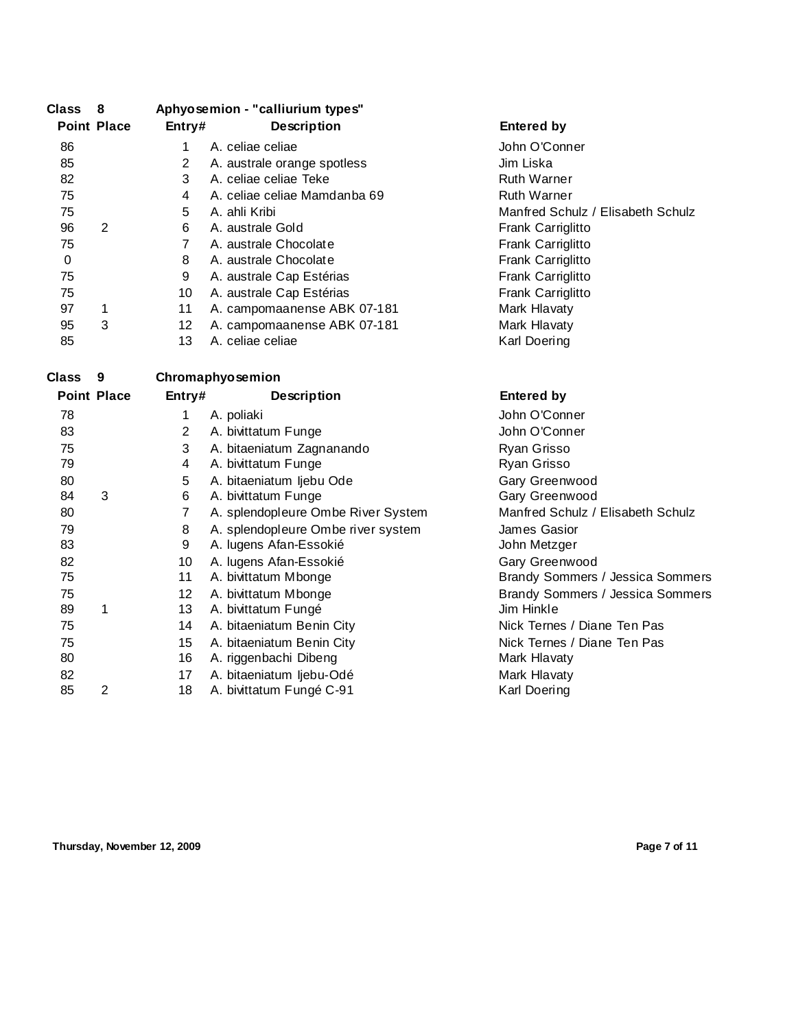| <b>Class</b> | - 8                |                | Aphyosemion - "calliurium types"   |                                   |
|--------------|--------------------|----------------|------------------------------------|-----------------------------------|
|              | <b>Point Place</b> | Entry#         | <b>Description</b>                 | <b>Entered by</b>                 |
| 86           |                    | $\mathbf 1$    | A. celiae celiae                   | John O'Conner                     |
| 85           |                    | $\overline{2}$ | A. australe orange spotless        | Jim Liska                         |
| 82           |                    | 3              | A. celiae celiae Teke              | <b>Ruth Warner</b>                |
| 75           |                    | 4              | A. celiae celiae Mamdanba 69       | <b>Ruth Warner</b>                |
| 75           |                    | 5              | A. ahli Kribi                      | Manfred Schulz / Elisabeth Schulz |
| 96           | $\overline{2}$     | 6              | A. australe Gold                   | Frank Carriglitto                 |
| 75           |                    | $\overline{7}$ | A. australe Chocolate              | Frank Carriglitto                 |
| 0            |                    | 8              | A. australe Chocolate              | Frank Carriglitto                 |
| 75           |                    | 9              | A. australe Cap Estérias           | Frank Carriglitto                 |
| 75           |                    | 10             | A. australe Cap Estérias           | Frank Carriglitto                 |
| 97           | 1                  | 11             | A. campomaanense ABK 07-181        | Mark Hlavaty                      |
| 95           | 3                  | 12             | A. campomaanense ABK 07-181        | Mark Hlavaty                      |
| 85           |                    | 13             | A. celiae celiae                   | Karl Doering                      |
| <b>Class</b> | 9                  |                | Chromaphyosemion                   |                                   |
|              | <b>Point Place</b> | Entry#         |                                    | <b>Entered by</b>                 |
|              |                    |                | <b>Description</b>                 |                                   |
| 78           |                    | 1              | A. poliaki                         | John O'Conner                     |
| 83           |                    | $\overline{2}$ | A. bivittatum Funge                | John O'Conner                     |
| 75           |                    | 3              | A. bitaeniatum Zagnanando          | Ryan Grisso                       |
| 79           |                    | 4              | A. bivittatum Funge                | Ryan Grisso                       |
| 80           |                    | 5              | A. bitaeniatum ljebu Ode           | Gary Greenwood                    |
| 84           | 3                  | 6              | A. bivittatum Funge                | Gary Greenwood                    |
| 80           |                    | $\overline{7}$ | A. splendopleure Ombe River System | Manfred Schulz / Elisabeth Schulz |
| 79           |                    | 8              | A. splendopleure Ombe river system | James Gasior                      |
| 83           |                    | 9              | A. lugens Afan-Essokié             | John Metzger                      |
| 82           |                    | 10             | A. lugens Afan-Essokié             | Gary Greenwood                    |
| 75           |                    | 11             | A. bivittatum Mbonge               | Brandy Sommers / Jessica Sommers  |
| 75           |                    | 12             | A. bivittatum Mbonge               | Brandy Sommers / Jessica Sommers  |
| 89           | 1                  | 13             | A. bivittatum Fungé                | Jim Hinkle                        |
| 75           |                    | 14             | A. bitaeniatum Benin City          | Nick Ternes / Diane Ten Pas       |
| 75           |                    | 15             | A. bitaeniatum Benin City          | Nick Ternes / Diane Ten Pas       |
| 80           |                    | 16             | A. riggenbachi Dibeng              | Mark Hlavaty                      |
| 82           |                    | 17             | A. bitaeniatum ljebu-Odé           | Mark Hlavaty                      |
| 85           | $\overline{2}$     | 18             | A. bivittatum Fungé C-91           | Karl Doering                      |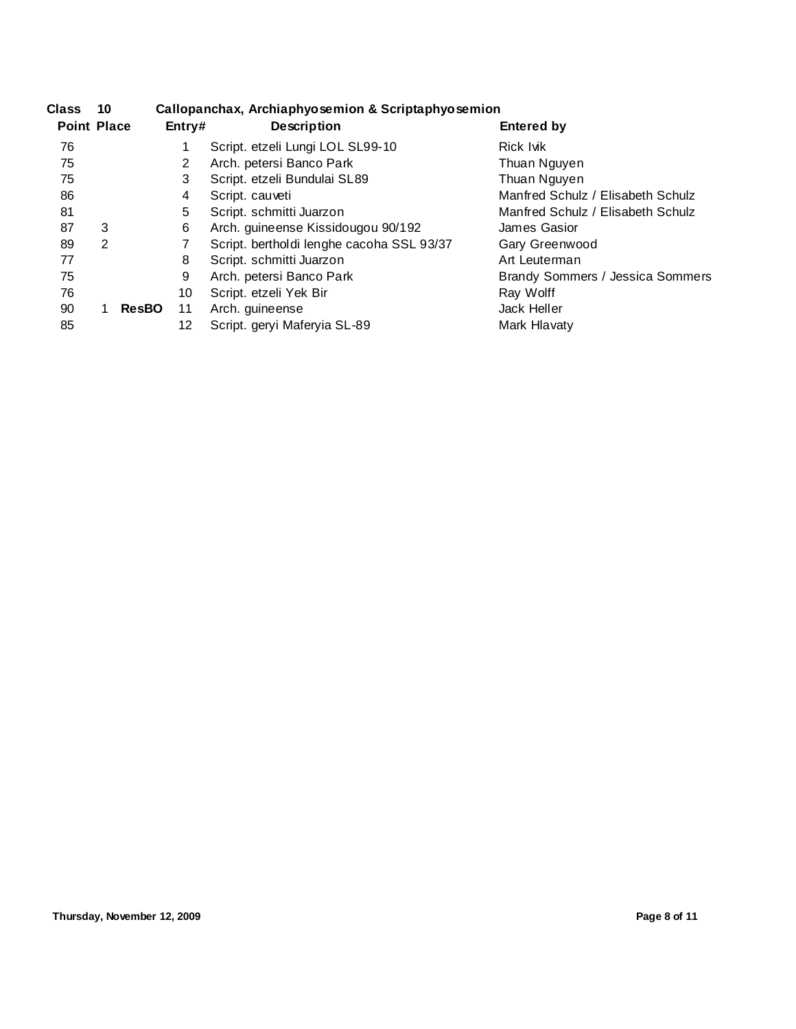| <b>Class</b>       | 10 |              | Callopanchax, Archiaphyosemion & Scriptaphyosemion |                                           |                                   |  |
|--------------------|----|--------------|----------------------------------------------------|-------------------------------------------|-----------------------------------|--|
| <b>Point Place</b> |    |              | Entry#                                             | <b>Description</b>                        | <b>Entered by</b>                 |  |
| 76                 |    |              |                                                    | Script. etzeli Lungi LOL SL99-10          | Rick Ivik                         |  |
| 75                 |    |              | 2                                                  | Arch. petersi Banco Park                  | Thuan Nguyen                      |  |
| 75                 |    |              | 3                                                  | Script. etzeli Bundulai SL89              | Thuan Nguyen                      |  |
| 86                 |    |              | 4                                                  | Script. cauveti                           | Manfred Schulz / Elisabeth Schulz |  |
| 81                 |    |              | 5                                                  | Script. schmitti Juarzon                  | Manfred Schulz / Elisabeth Schulz |  |
| 87                 | 3  |              | 6                                                  | Arch. guineense Kissidougou 90/192        | James Gasior                      |  |
| 89                 | 2  |              |                                                    | Script. bertholdi lenghe cacoha SSL 93/37 | Gary Greenwood                    |  |
| 77                 |    |              | 8                                                  | Script. schmitti Juarzon                  | Art Leuterman                     |  |
| 75                 |    |              | 9                                                  | Arch. petersi Banco Park                  | Brandy Sommers / Jessica Sommers  |  |
| 76                 |    |              | 10                                                 | Script. etzeli Yek Bir                    | Ray Wolff                         |  |
| 90                 |    | <b>ResBO</b> | 11                                                 | Arch. guineense                           | Jack Heller                       |  |
| 85                 |    |              | 12                                                 | Script. geryi Maferyia SL-89              | Mark Hlavaty                      |  |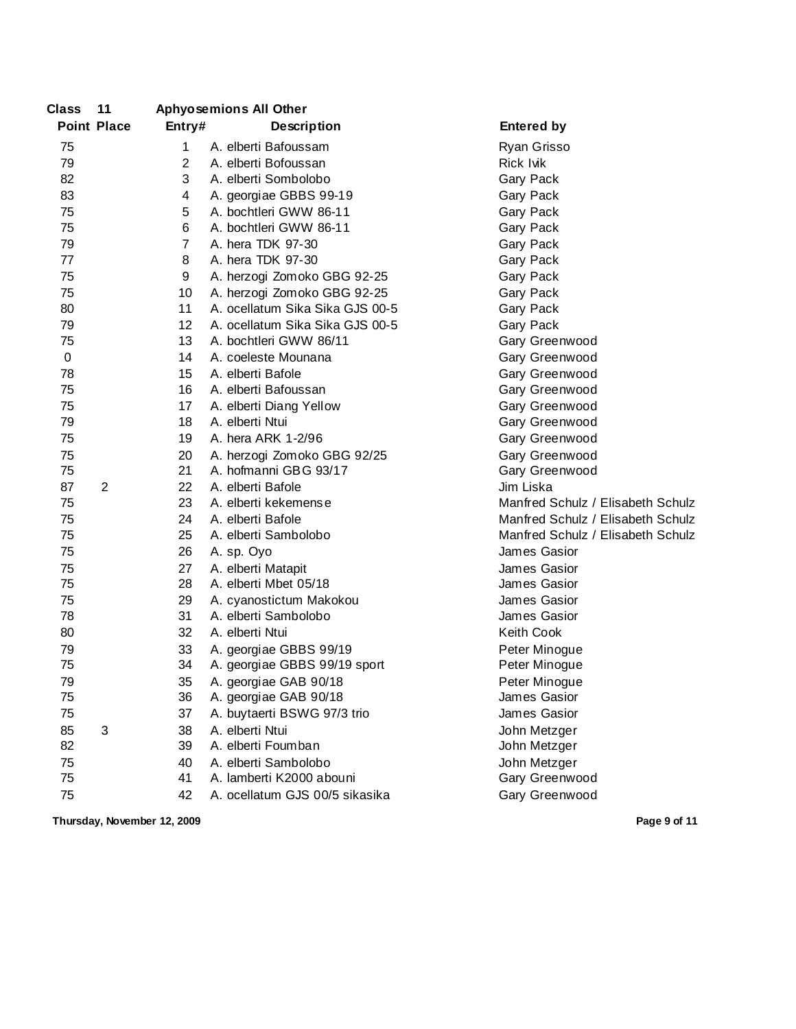| <b>Class</b>     | 11                 | <b>Aphyosemions All Other</b> |                                 |                                   |
|------------------|--------------------|-------------------------------|---------------------------------|-----------------------------------|
|                  | <b>Point Place</b> | Entry#                        | <b>Description</b>              | <b>Entered by</b>                 |
| 75               |                    | 1                             | A. elberti Bafoussam            | Ryan Grisso                       |
| 79               |                    | $\overline{2}$                | A. elberti Bofoussan            | <b>Rick lvik</b>                  |
| 82               |                    | 3                             | A. elberti Sombolobo            | Gary Pack                         |
| 83               |                    | 4                             | A. georgiae GBBS 99-19          | Gary Pack                         |
| 75               |                    | 5                             | A. bochtleri GWW 86-11          | Gary Pack                         |
| 75               |                    | 6                             | A. bochtleri GWW 86-11          | Gary Pack                         |
| 79               |                    | 7                             | A. hera TDK 97-30               | Gary Pack                         |
| 77               |                    | 8                             | A. hera TDK 97-30               | Gary Pack                         |
| 75               |                    | 9                             | A. herzogi Zomoko GBG 92-25     | Gary Pack                         |
| 75               |                    | 10                            | A. herzogi Zomoko GBG 92-25     | Gary Pack                         |
| 80               |                    | 11                            | A. ocellatum Sika Sika GJS 00-5 | Gary Pack                         |
| 79               |                    | 12                            | A. ocellatum Sika Sika GJS 00-5 | Gary Pack                         |
| 75               |                    | 13                            | A. bochtleri GWW 86/11          | Gary Greenwood                    |
| $\boldsymbol{0}$ |                    | 14                            | A. coeleste Mounana             | Gary Greenwood                    |
| 78               |                    | 15                            | A. elberti Bafole               | Gary Greenwood                    |
| 75               |                    | 16                            | A. elberti Bafoussan            | Gary Greenwood                    |
| 75               |                    | 17                            | A. elberti Diang Yellow         | Gary Greenwood                    |
| 79               |                    | 18                            | A. elberti Ntui                 | Gary Greenwood                    |
| 75               |                    | 19                            | A. hera ARK 1-2/96              | Gary Greenwood                    |
| 75               |                    | 20                            | A. herzogi Zomoko GBG 92/25     | Gary Greenwood                    |
| 75               |                    | 21                            | A. hofmanni GBG 93/17           | Gary Greenwood                    |
| 87               | $\overline{2}$     | 22                            | A. elberti Bafole               | Jim Liska                         |
| 75               |                    | 23                            | A. elberti kekemense            | Manfred Schulz / Elisabeth Schulz |
| 75               |                    | 24                            | A. elberti Bafole               | Manfred Schulz / Elisabeth Schulz |
| 75               |                    | 25                            | A. elberti Sambolobo            | Manfred Schulz / Elisabeth Schulz |
| 75               |                    | 26                            | A. sp. Oyo                      | James Gasior                      |
| 75               |                    | 27                            | A. elberti Matapit              | James Gasior                      |
| 75               |                    | 28                            | A. elberti Mbet 05/18           | James Gasior                      |
| 75               |                    | 29                            | A. cyanostictum Makokou         | James Gasior                      |
| 78               |                    | 31                            | A. elberti Sambolobo            | James Gasior                      |
| 80               |                    | 32                            | A. elberti Ntui                 | Keith Cook                        |
| 79               |                    | 33                            | A. georgiae GBBS 99/19          | Peter Minogue                     |
| 75               |                    | 34                            | A. georgiae GBBS 99/19 sport    | Peter Minogue                     |
| 79               |                    | 35                            | A. georgiae GAB 90/18           | Peter Minoque                     |
| 75               |                    | 36                            | A. georgiae GAB 90/18           | James Gasior                      |
| 75               |                    | 37                            | A. buytaerti BSWG 97/3 trio     | James Gasior                      |
| 85               | 3                  | 38                            | A. elberti Ntui                 | John Metzger                      |
| 82               |                    | 39                            | A. elberti Foumban              | John Metzger                      |
| 75               |                    | 40                            | A. elberti Sambolobo            | John Metzger                      |
| 75               |                    | 41                            | A. lamberti K2000 abouni        | Gary Greenwood                    |
| 75               |                    | 42                            | A. ocellatum GJS 00/5 sikasika  | Gary Greenwood                    |

**Thursday, November 12, 2009 Page 9 of 11**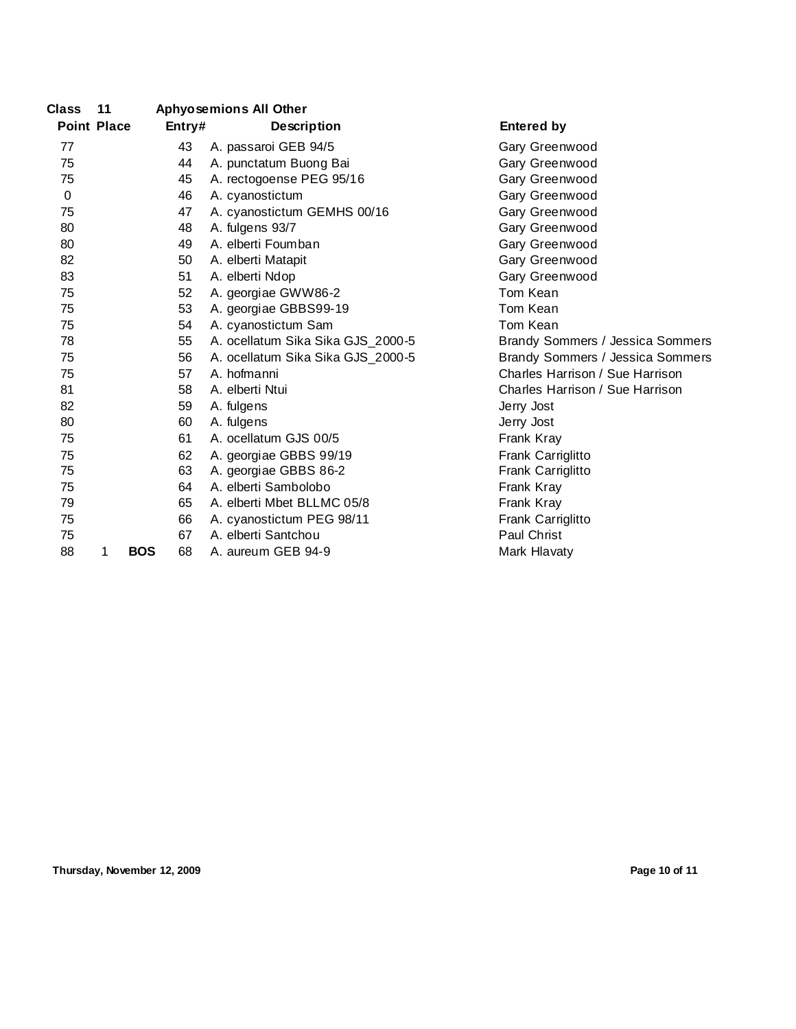| <b>Class</b>       | 11 |            |        | <b>Aphyosemions All Other</b>     |                                  |
|--------------------|----|------------|--------|-----------------------------------|----------------------------------|
| <b>Point Place</b> |    |            | Entry# | <b>Description</b>                | <b>Entered by</b>                |
| 77                 |    |            | 43     | A. passaroi GEB 94/5              | Gary Greenwood                   |
| 75                 |    |            | 44     | A. punctatum Buong Bai            | Gary Greenwood                   |
| 75                 |    |            | 45     | A. rectogoense PEG 95/16          | Gary Greenwood                   |
| 0                  |    |            | 46     | A. cyanostictum                   | Gary Greenwood                   |
| 75                 |    |            | 47     | A. cyanostictum GEMHS 00/16       | Gary Greenwood                   |
| 80                 |    |            | 48     | A. fulgens 93/7                   | Gary Greenwood                   |
| 80                 |    |            | 49     | A. elberti Foumban                | Gary Greenwood                   |
| 82                 |    |            | 50     | A. elberti Matapit                | Gary Greenwood                   |
| 83                 |    |            | 51     | A. elberti Ndop                   | Gary Greenwood                   |
| 75                 |    |            | 52     | A. georgiae GWW86-2               | Tom Kean                         |
| 75                 |    |            | 53     | A. georgiae GBBS99-19             | Tom Kean                         |
| 75                 |    |            | 54     | A. cyanostictum Sam               | Tom Kean                         |
| 78                 |    |            | 55     | A. ocellatum Sika Sika GJS_2000-5 | Brandy Sommers / Jessica Sommers |
| 75                 |    |            | 56     | A. ocellatum Sika Sika GJS_2000-5 | Brandy Sommers / Jessica Sommers |
| 75                 |    |            | 57     | A. hofmanni                       | Charles Harrison / Sue Harrison  |
| 81                 |    |            | 58     | A. elberti Ntui                   | Charles Harrison / Sue Harrison  |
| 82                 |    |            | 59     | A. fulgens                        | Jerry Jost                       |
| 80                 |    |            | 60     | A. fulgens                        | Jerry Jost                       |
| 75                 |    |            | 61     | A. ocellatum GJS 00/5             | Frank Kray                       |
| 75                 |    |            | 62     | A. georgiae GBBS 99/19            | Frank Carriglitto                |
| 75                 |    |            | 63     | A. georgiae GBBS 86-2             | Frank Carriglitto                |
| 75                 |    |            | 64     | A. elberti Sambolobo              | Frank Kray                       |
| 79                 |    |            | 65     | A. elberti Mbet BLLMC 05/8        | Frank Kray                       |
| 75                 |    |            | 66     | A. cyanostictum PEG 98/11         | Frank Carriglitto                |
| 75                 |    |            | 67     | A. elberti Santchou               | Paul Christ                      |
| 88                 | 1  | <b>BOS</b> | 68     | A. aureum GEB 94-9                | Mark Hlavaty                     |